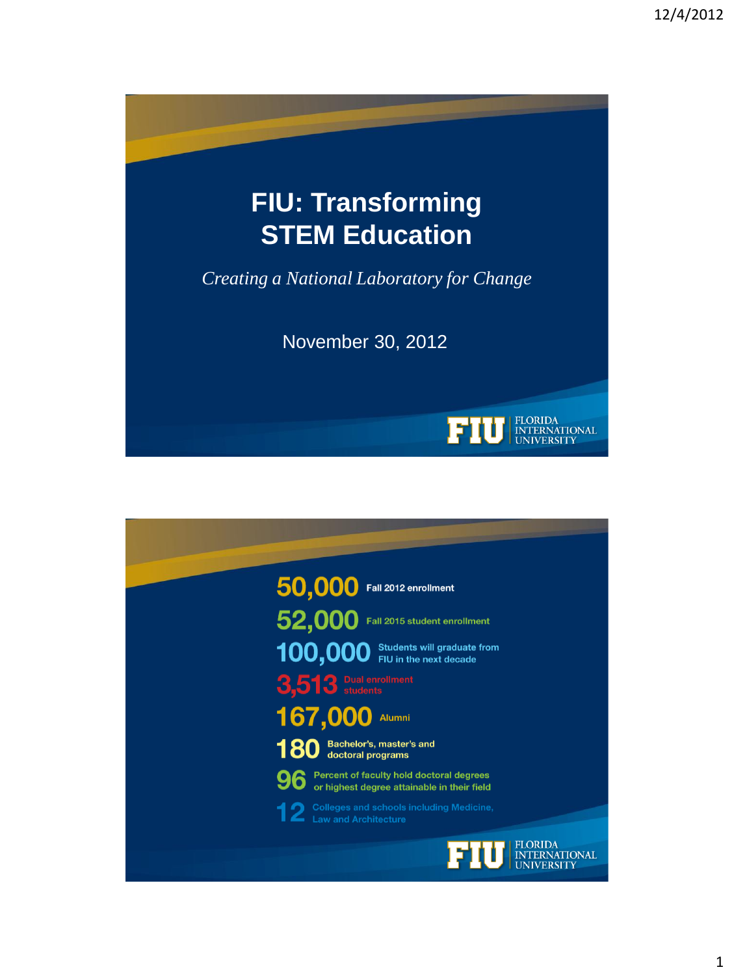

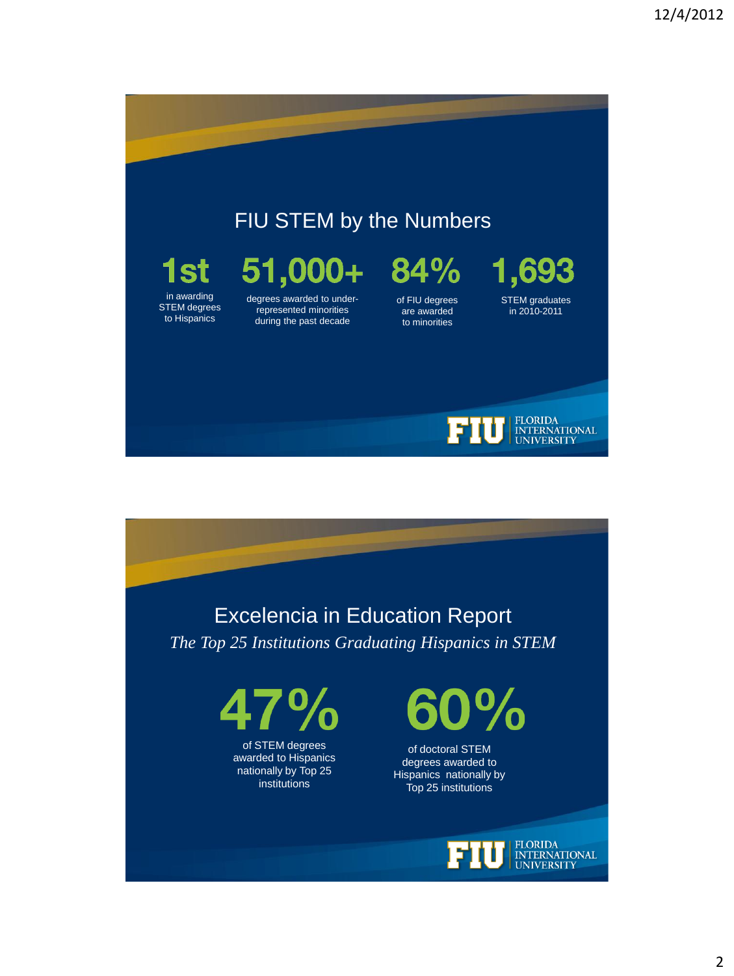## FIU STEM by the Numbers

# 1st

in awarding STEM degrees to Hispanics

### 51,000+ degrees awarded to underrepresented minorities during the past decade

 $84\%$ of FIU degrees

are awarded to minorities









of STEM degrees awarded to Hispanics nationally by Top 25 institutions



of doctoral STEM degrees awarded to Hispanics nationally by Top 25 institutions

> FLORIDA<br>INTERNATIONAL **UNIVERSITY**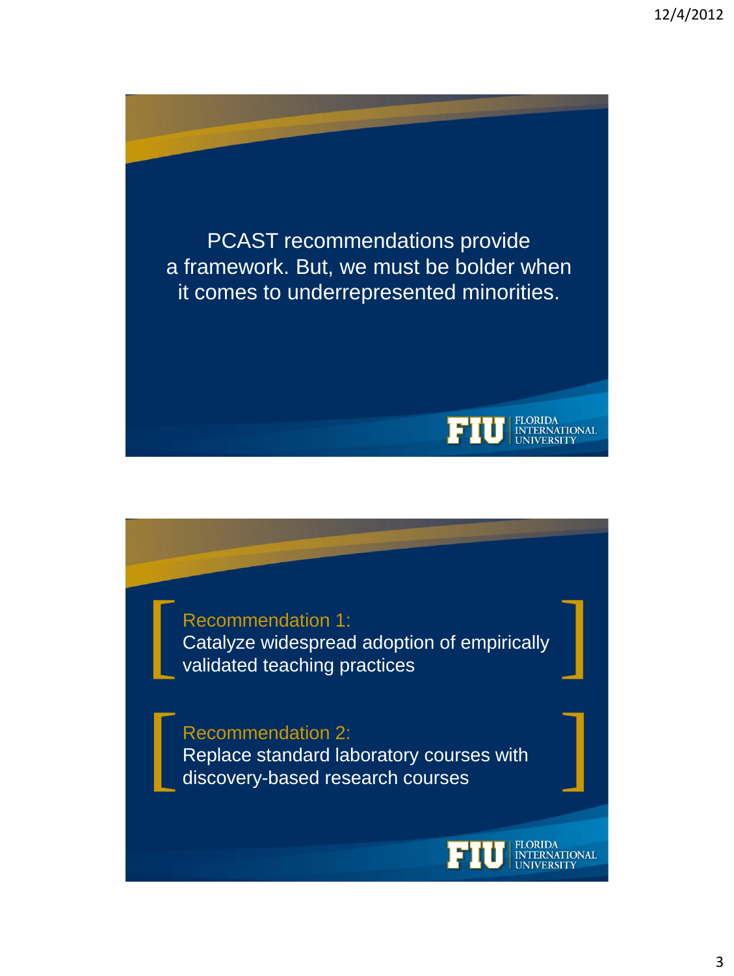PCAST recommendations provide a framework. But, we must be bolder when it comes to underrepresented minorities. FLORIDA<br>INTERNATIONAL<br>UNIVERSITY

EÌ.

FLORIDA<br>INTERNATIONAL

Recommendation 1:<br>Catalyze widespread adoption of empirically<br>validated teaching practices Catalyze widespread adoption of empirically validated teaching practices

Recommendation 2: Replace standard laboratory courses with discovery-based research courses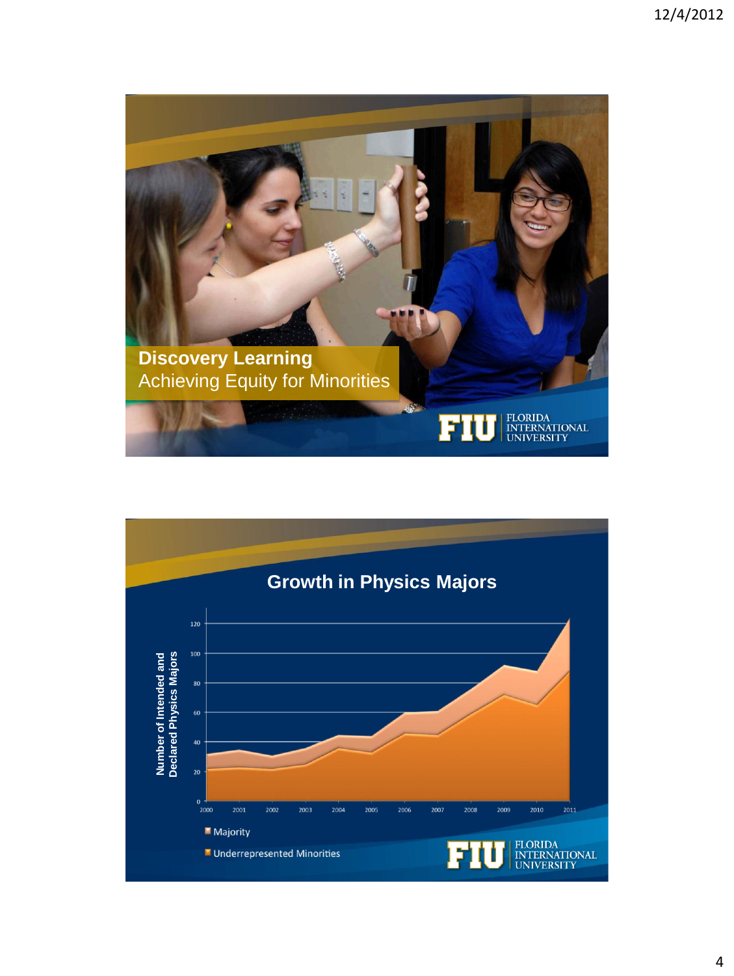

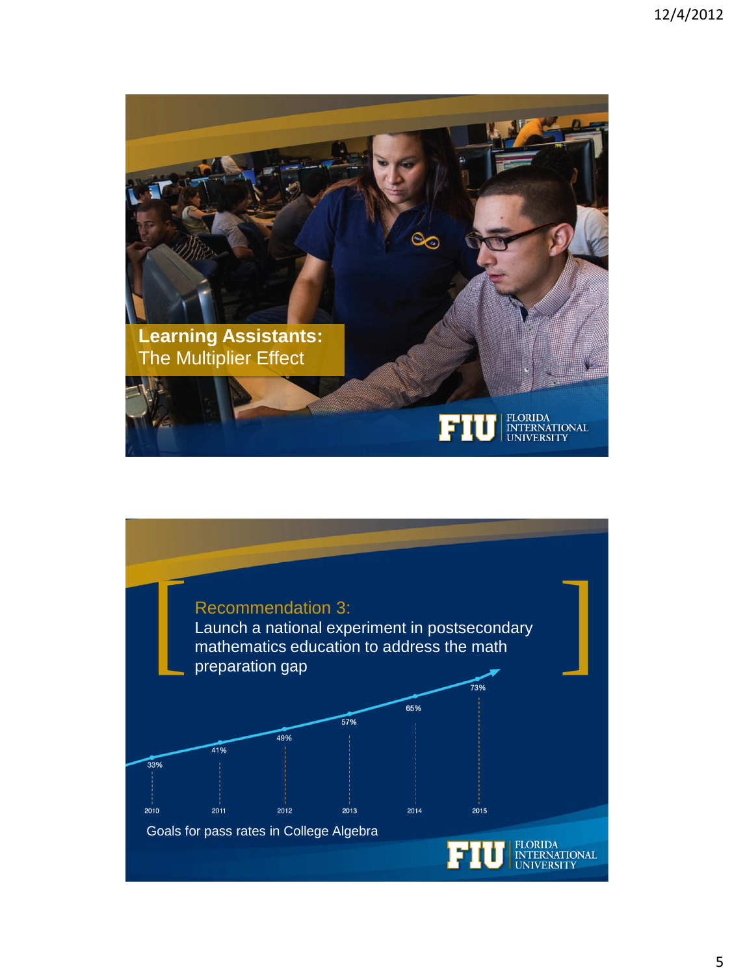

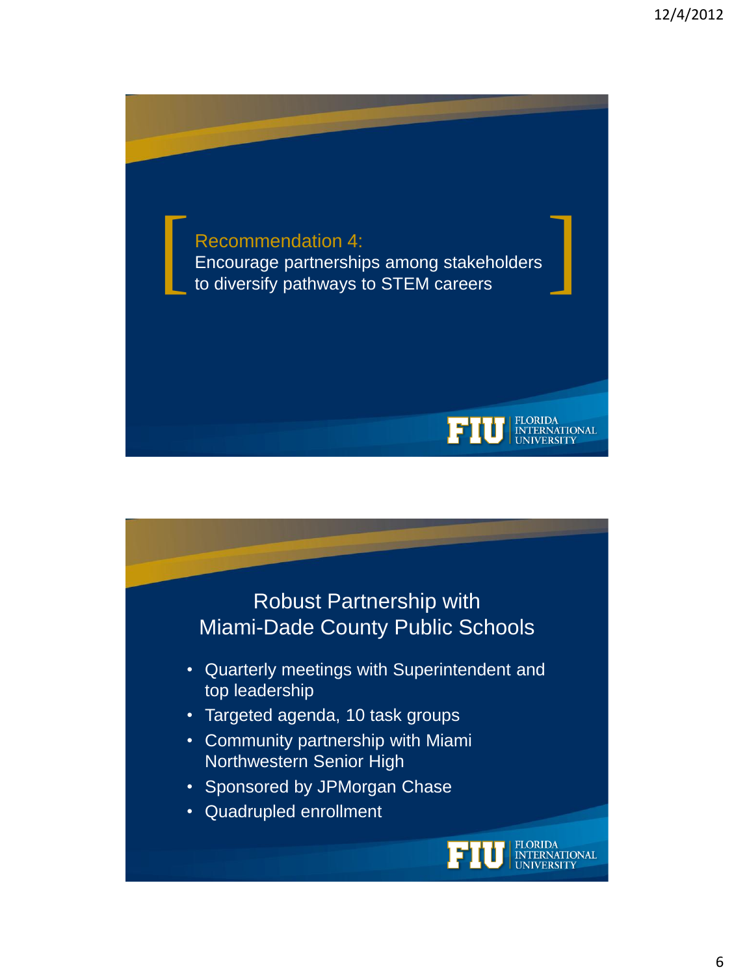

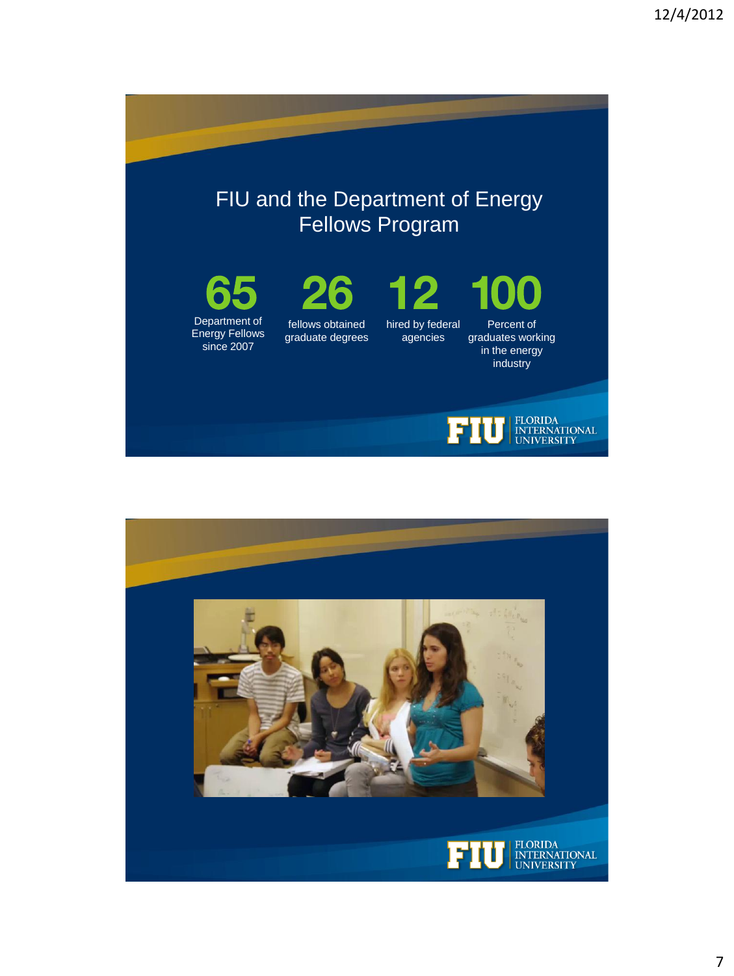

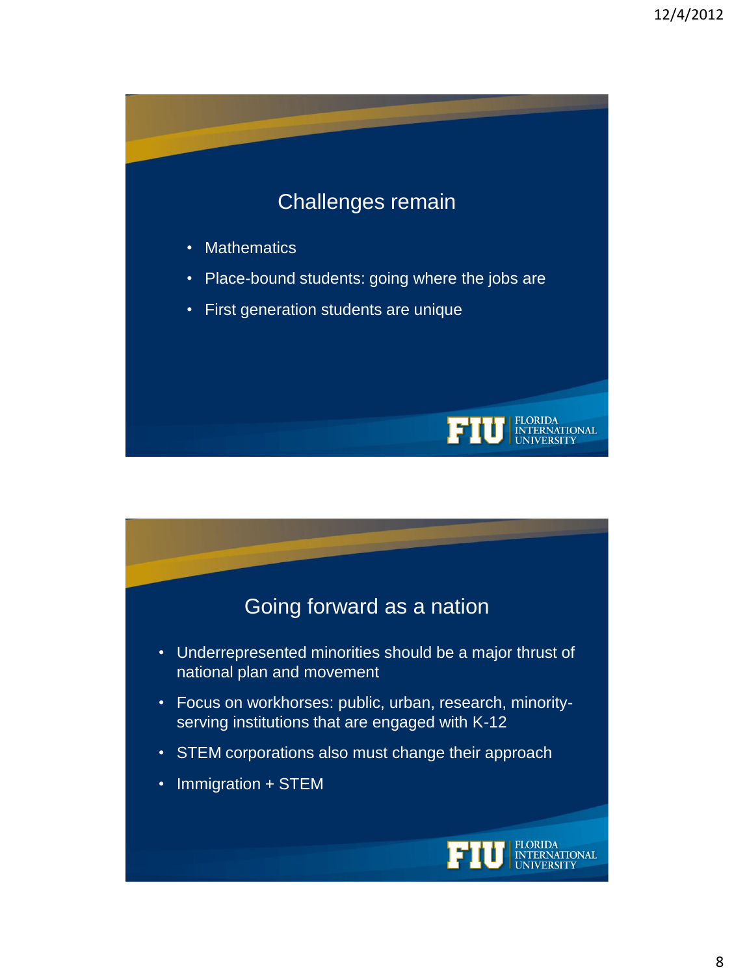# Challenges remain

- Mathematics
- Place-bound students: going where the jobs are
- First generation students are unique